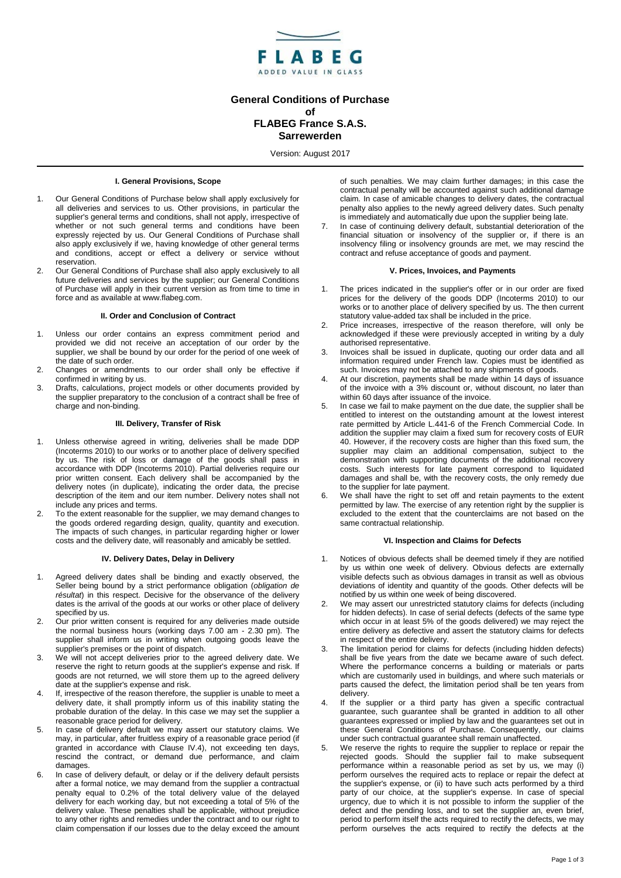

# **General Conditions of Purchase of FLABEG France S.A.S. Sarrewerden**

Version: August 2017

## **I. General Provisions, Scope**

- 1. Our General Conditions of Purchase below shall apply exclusively for all deliveries and services to us. Other provisions, in particular the supplier's general terms and conditions, shall not apply, irrespective of whether or not such general terms and conditions have been expressly rejected by us. Our General Conditions of Purchase shall also apply exclusively if we, having knowledge of other general terms and conditions, accept or effect a delivery or service without reservation.
- 2. Our General Conditions of Purchase shall also apply exclusively to all future deliveries and services by the supplier; our General Conditions of Purchase will apply in their current version as from time to time in force and as available at www.flabeg.com.

#### **II. Order and Conclusion of Contract**

- 1. Unless our order contains an express commitment period and provided we did not receive an acceptation of our order by the supplier, we shall be bound by our order for the period of one week of the date of such order.
- 2. Changes or amendments to our order shall only be effective if confirmed in writing by us.
- 3. Drafts, calculations, project models or other documents provided by the supplier preparatory to the conclusion of a contract shall be free of charge and non-binding.

#### **III. Delivery, Transfer of Risk**

- 1. Unless otherwise agreed in writing, deliveries shall be made DDP (Incoterms 2010) to our works or to another place of delivery specified by us. The risk of loss or damage of the goods shall pass in accordance with DDP (Incoterms 2010). Partial deliveries require our prior written consent. Each delivery shall be accompanied by the delivery notes (in duplicate), indicating the order data, the precise description of the item and our item number. Delivery notes shall not include any prices and terms.
- 2. To the extent reasonable for the supplier, we may demand changes to the goods ordered regarding design, quality, quantity and execution. The impacts of such changes, in particular regarding higher or lower costs and the delivery date, will reasonably and amicably be settled.

#### **IV. Delivery Dates, Delay in Delivery**

- 1. Agreed delivery dates shall be binding and exactly observed, the Seller being bound by a strict performance obligation (*obligation de résultat*) in this respect. Decisive for the observance of the delivery dates is the arrival of the goods at our works or other place of delivery specified by us.
- 2. Our prior written consent is required for any deliveries made outside the normal business hours (working days 7.00 am - 2.30 pm). The supplier shall inform us in writing when outgoing goods leave the supplier's premises or the point of dispatch.
- 3. We will not accept deliveries prior to the agreed delivery date. We reserve the right to return goods at the supplier's expense and risk. If goods are not returned, we will store them up to the agreed delivery date at the supplier's expense and risk.
- 4. If, irrespective of the reason therefore, the supplier is unable to meet a delivery date, it shall promptly inform us of this inability stating the probable duration of the delay. In this case we may set the supplier a reasonable grace period for delivery.
- 5. In case of delivery default we may assert our statutory claims. We may, in particular, after fruitless expiry of a reasonable grace period (if granted in accordance with Clause IV.4), not exceeding ten days, rescind the contract, or demand due performance, and claim damages.
- 6. In case of delivery default, or delay or if the delivery default persists after a formal notice, we may demand from the supplier a contractual penalty equal to 0.2% of the total delivery value of the delayed delivery for each working day, but not exceeding a total of 5% of the delivery value. These penalties shall be applicable, without prejudice to any other rights and remedies under the contract and to our right to claim compensation if our losses due to the delay exceed the amount

of such penalties. We may claim further damages; in this case the contractual penalty will be accounted against such additional damage claim. In case of amicable changes to delivery dates, the contractual penalty also applies to the newly agreed delivery dates. Such penalty is immediately and automatically due upon the supplier being late.

In case of continuing delivery default, substantial deterioration of the financial situation or insolvency of the supplier or, if there is an insolvency filing or insolvency grounds are met, we may rescind the contract and refuse acceptance of goods and payment.

## **V. Prices, Invoices, and Payments**

- The prices indicated in the supplier's offer or in our order are fixed prices for the delivery of the goods DDP (Incoterms 2010) to our works or to another place of delivery specified by us. The then current statutory value-added tax shall be included in the price.
- 2. Price increases, irrespective of the reason therefore, will only be acknowledged if these were previously accepted in writing by a duly authorised representative.
- 3. Invoices shall be issued in duplicate, quoting our order data and all information required under French law. Copies must be identified as such. Invoices may not be attached to any shipments of goods.
- 4. At our discretion, payments shall be made within 14 days of issuance of the invoice with a 3% discount or, without discount, no later than within 60 days after issuance of the invoice.
- In case we fail to make payment on the due date, the supplier shall be entitled to interest on the outstanding amount at the lowest interest rate permitted by Article L.441-6 of the French Commercial Code. In addition the supplier may claim a fixed sum for recovery costs of EUR 40. However, if the recovery costs are higher than this fixed sum, the supplier may claim an additional compensation, subject to the demonstration with supporting documents of the additional recovery costs. Such interests for late payment correspond to liquidated damages and shall be, with the recovery costs, the only remedy due to the supplier for late payment.
- We shall have the right to set off and retain payments to the extent permitted by law. The exercise of any retention right by the supplier is excluded to the extent that the counterclaims are not based on the same contractual relationship.

#### **VI. Inspection and Claims for Defects**

- Notices of obvious defects shall be deemed timely if they are notified by us within one week of delivery. Obvious defects are externally visible defects such as obvious damages in transit as well as obvious deviations of identity and quantity of the goods. Other defects will be notified by us within one week of being discovered.
- 2. We may assert our unrestricted statutory claims for defects (including for hidden defects). In case of serial defects (defects of the same type which occur in at least 5% of the goods delivered) we may reject the entire delivery as defective and assert the statutory claims for defects in respect of the entire delivery.
- The limitation period for claims for defects (including hidden defects) shall be five years from the date we became aware of such defect. Where the performance concerns a building or materials or parts which are customarily used in buildings, and where such materials or parts caused the defect, the limitation period shall be ten years from delivery.
- If the supplier or a third party has given a specific contractual guarantee, such guarantee shall be granted in addition to all other guarantees expressed or implied by law and the guarantees set out in these General Conditions of Purchase. Consequently, our claims under such contractual guarantee shall remain unaffected.
- 5. We reserve the rights to require the supplier to replace or repair the rejected goods. Should the supplier fail to make subsequent performance within a reasonable period as set by us, we may (i) perform ourselves the required acts to replace or repair the defect at the supplier's expense, or (ii) to have such acts performed by a third party of our choice, at the supplier's expense. In case of special urgency, due to which it is not possible to inform the supplier of the defect and the pending loss, and to set the supplier an, even brief, period to perform itself the acts required to rectify the defects, we may perform ourselves the acts required to rectify the defects at the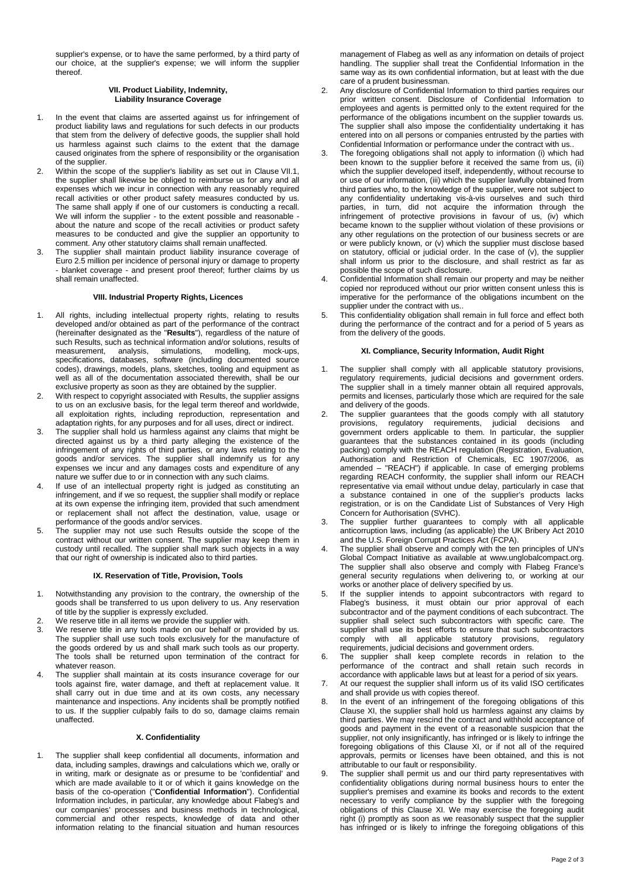supplier's expense, or to have the same performed, by a third party of our choice, at the supplier's expense; we will inform the supplier thereof.

#### **VII. Product Liability, Indemnity, Liability Insurance Coverage**

- 1. In the event that claims are asserted against us for infringement of product liability laws and regulations for such defects in our products that stem from the delivery of defective goods, the supplier shall hold us harmless against such claims to the extent that the damage caused originates from the sphere of responsibility or the organisation of the supplier.
- 2. Within the scope of the supplier's liability as set out in Clause VII.1, the supplier shall likewise be obliged to reimburse us for any and all expenses which we incur in connection with any reasonably required recall activities or other product safety measures conducted by us. The same shall apply if one of our customers is conducting a recall. We will inform the supplier - to the extent possible and reasonable about the nature and scope of the recall activities or product safety measures to be conducted and give the supplier an opportunity to comment. Any other statutory claims shall remain unaffected.
- 3. The supplier shall maintain product liability insurance coverage of Euro 2.5 million per incidence of personal injury or damage to property - blanket coverage - and present proof thereof; further claims by us shall remain unaffected.

#### **VIII. Industrial Property Rights, Licences**

- 1. All rights, including intellectual property rights, relating to results developed and/or obtained as part of the performance of the contract (hereinafter designated as the "**Results**"), regardless of the nature of such Results, such as technical information and/or solutions, results of measurement, analysis, simulations, modelling, mock-ups, analysis, simulations, specifications, databases, software (including documented source codes), drawings, models, plans, sketches, tooling and equipment as well as all of the documentation associated therewith, shall be our exclusive property as soon as they are obtained by the supplier.
- 2. With respect to copyright associated with Results, the supplier assigns to us on an exclusive basis, for the legal term thereof and worldwide, all exploitation rights, including reproduction, representation and adaptation rights, for any purposes and for all uses, direct or indirect.
- 3. The supplier shall hold us harmless against any claims that might be directed against us by a third party alleging the existence of the infringement of any rights of third parties, or any laws relating to the goods and/or services. The supplier shall indemnify us for any expenses we incur and any damages costs and expenditure of any nature we suffer due to or in connection with any such claims.
- If use of an intellectual property right is judged as constituting an infringement, and if we so request, the supplier shall modify or replace at its own expense the infringing item, provided that such amendment or replacement shall not affect the destination, value, usage or performance of the goods and/or services.
- 5. The supplier may not use such Results outside the scope of the contract without our written consent. The supplier may keep them in custody until recalled. The supplier shall mark such objects in a way that our right of ownership is indicated also to third parties.

## **IX. Reservation of Title, Provision, Tools**

- 1. Notwithstanding any provision to the contrary, the ownership of the goods shall be transferred to us upon delivery to us. Any reservation of title by the supplier is expressly excluded.
- 2. We reserve title in all items we provide the supplier with.
- 3. We reserve title in any tools made on our behalf or provided by us. The supplier shall use such tools exclusively for the manufacture of the goods ordered by us and shall mark such tools as our property. The tools shall be returned upon termination of the contract for whatever reason.
- The supplier shall maintain at its costs insurance coverage for our tools against fire, water damage, and theft at replacement value. It shall carry out in due time and at its own costs, any necessary maintenance and inspections. Any incidents shall be promptly notified to us. If the supplier culpably fails to do so, damage claims remain unaffected.

## **X. Confidentiality**

1. The supplier shall keep confidential all documents, information and data, including samples, drawings and calculations which we, orally or in writing, mark or designate as or presume to be 'confidential' and which are made available to it or of which it gains knowledge on the basis of the co-operation ("**Confidential Information**"). Confidential Information includes, in particular, any knowledge about Flabeg's and our companies' processes and business methods in technological, commercial and other respects, knowledge of data and other information relating to the financial situation and human resources management of Flabeg as well as any information on details of project handling. The supplier shall treat the Confidential Information in the same way as its own confidential information, but at least with the due care of a prudent businessman.

- Any disclosure of Confidential Information to third parties requires our prior written consent. Disclosure of Confidential Information to employees and agents is permitted only to the extent required for the performance of the obligations incumbent on the supplier towards us. The supplier shall also impose the confidentiality undertaking it has entered into on all persons or companies entrusted by the parties with Confidential Information or performance under the contract with us..
- 3. The foregoing obligations shall not apply to information (i) which had been known to the supplier before it received the same from us, (ii) which the supplier developed itself, independently, without recourse to or use of our information, (iii) which the supplier lawfully obtained from third parties who, to the knowledge of the supplier, were not subject to any confidentiality undertaking vis-à-vis ourselves and such third parties, in turn, did not acquire the information through the infringement of protective provisions in favour of us, (iv) which became known to the supplier without violation of these provisions or any other regulations on the protection of our business secrets or are or were publicly known, or (v) which the supplier must disclose based on statutory, official or judicial order. In the case of (v), the supplier shall inform us prior to the disclosure, and shall restrict as far as possible the scope of such disclosure.
- Confidential Information shall remain our property and may be neither copied nor reproduced without our prior written consent unless this is imperative for the performance of the obligations incumbent on the supplier under the contract with us...
- 5. This confidentiality obligation shall remain in full force and effect both during the performance of the contract and for a period of 5 years as from the delivery of the goods.

#### **XI. Compliance, Security Information, Audit Right**

- 1. The supplier shall comply with all applicable statutory provisions, regulatory requirements, judicial decisions and government orders. The supplier shall in a timely manner obtain all required approvals, permits and licenses, particularly those which are required for the sale and delivery of the goods.
- The supplier guarantees that the goods comply with all statutory provisions, regulatory requirements, judicial decisions and regulatory requirements, judicial decisions and government orders applicable to them. In particular, the supplier guarantees that the substances contained in its goods (including packing) comply with the REACH regulation (Registration, Evaluation, Authorisation and Restriction of Chemicals, EC 1907/2006, as amended – "REACH") if applicable. In case of emerging problems regarding REACH conformity, the supplier shall inform our REACH representative via email without undue delay, particularly in case that a substance contained in one of the supplier's products lacks registration, or is on the Candidate List of Substances of Very High Concern for Authorisation (SVHC).
- 3. The supplier further guarantees to comply with all applicable anticorruption laws, including (as applicable) the UK Bribery Act 2010 and the U.S. Foreign Corrupt Practices Act (FCPA).
- The supplier shall observe and comply with the ten principles of UN's Global Compact Initiative as available at www.unglobalcompact.org. The supplier shall also observe and comply with Flabeg France's general security regulations when delivering to, or working at our works or another place of delivery specified by us.
- If the supplier intends to appoint subcontractors with regard to Flabeg's business, it must obtain our prior approval of each subcontractor and of the payment conditions of each subcontract. The supplier shall select such subcontractors with specific care. The supplier shall use its best efforts to ensure that such subcontractors comply with all applicable statutory provisions, regulatory requirements, judicial decisions and government orders.
- 6. The supplier shall keep complete records in relation to the performance of the contract and shall retain such records in accordance with applicable laws but at least for a period of six years.
- 7. At our request the supplier shall inform us of its valid ISO certificates and shall provide us with copies thereof.
- In the event of an infringement of the foregoing obligations of this Clause XI, the supplier shall hold us harmless against any claims by third parties. We may rescind the contract and withhold acceptance of goods and payment in the event of a reasonable suspicion that the supplier, not only insignificantly, has infringed or is likely to infringe the foregoing obligations of this Clause XI, or if not all of the required approvals, permits or licenses have been obtained, and this is not attributable to our fault or responsibility.
- The supplier shall permit us and our third party representatives with confidentiality obligations during normal business hours to enter the supplier's premises and examine its books and records to the extent necessary to verify compliance by the supplier with the foregoing obligations of this Clause XI. We may exercise the foregoing audit right (i) promptly as soon as we reasonably suspect that the supplier has infringed or is likely to infringe the foregoing obligations of this